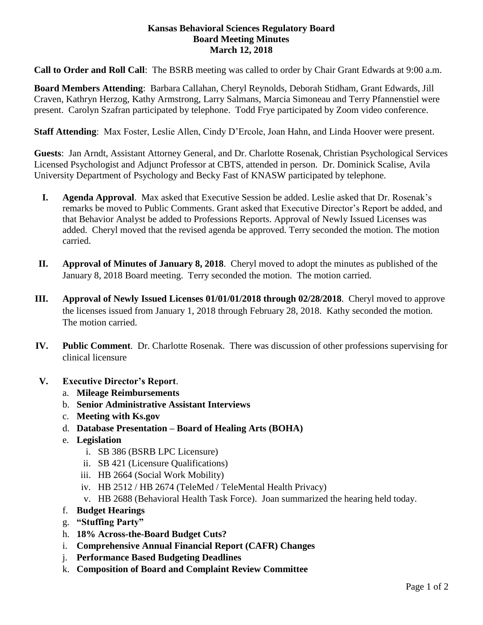#### **Kansas Behavioral Sciences Regulatory Board Board Meeting Minutes March 12, 2018**

**Call to Order and Roll Call**: The BSRB meeting was called to order by Chair Grant Edwards at 9:00 a.m.

**Board Members Attending**: Barbara Callahan, Cheryl Reynolds, Deborah Stidham, Grant Edwards, Jill Craven, Kathryn Herzog, Kathy Armstrong, Larry Salmans, Marcia Simoneau and Terry Pfannenstiel were present. Carolyn Szafran participated by telephone. Todd Frye participated by Zoom video conference.

**Staff Attending**: Max Foster, Leslie Allen, Cindy D'Ercole, Joan Hahn, and Linda Hoover were present.

**Guests**:Jan Arndt, Assistant Attorney General, and Dr. Charlotte Rosenak, Christian Psychological Services Licensed Psychologist and Adjunct Professor at CBTS, attended in person. Dr. Dominick Scalise, Avila University Department of Psychology and Becky Fast of KNASW participated by telephone.

- **I. Agenda Approval**. Max asked that Executive Session be added. Leslie asked that Dr. Rosenak's remarks be moved to Public Comments. Grant asked that Executive Director's Report be added, and that Behavior Analyst be added to Professions Reports. Approval of Newly Issued Licenses was added. Cheryl moved that the revised agenda be approved. Terry seconded the motion. The motion carried.
- **II. Approval of Minutes of January 8, 2018**. Cheryl moved to adopt the minutes as published of the January 8, 2018 Board meeting. Terry seconded the motion. The motion carried.
- **III. Approval of Newly Issued Licenses 01/01/01/2018 through 02/28/2018**. Cheryl moved to approve the licenses issued from January 1, 2018 through February 28, 2018. Kathy seconded the motion. The motion carried.
- **IV. Public Comment**. Dr. Charlotte Rosenak. There was discussion of other professions supervising for clinical licensure
- **V. Executive Director's Report**.
	- a. **Mileage Reimbursements**
	- b. **Senior Administrative Assistant Interviews**
	- c. **Meeting with Ks.gov**
	- d. **Database Presentation – Board of Healing Arts (BOHA)**
	- e. **Legislation**
		- i. SB 386 (BSRB LPC Licensure)
		- ii. SB 421 (Licensure Qualifications)
		- iii. HB 2664 (Social Work Mobility)
		- iv. HB 2512 / HB 2674 (TeleMed / TeleMental Health Privacy)
		- v. HB 2688 (Behavioral Health Task Force). Joan summarized the hearing held today.
	- f. **Budget Hearings**
	- g. **"Stuffing Party"**
	- h. **18% Across-the-Board Budget Cuts?**
	- i. **Comprehensive Annual Financial Report (CAFR) Changes**
	- j. **Performance Based Budgeting Deadlines**
	- k. **Composition of Board and Complaint Review Committee**